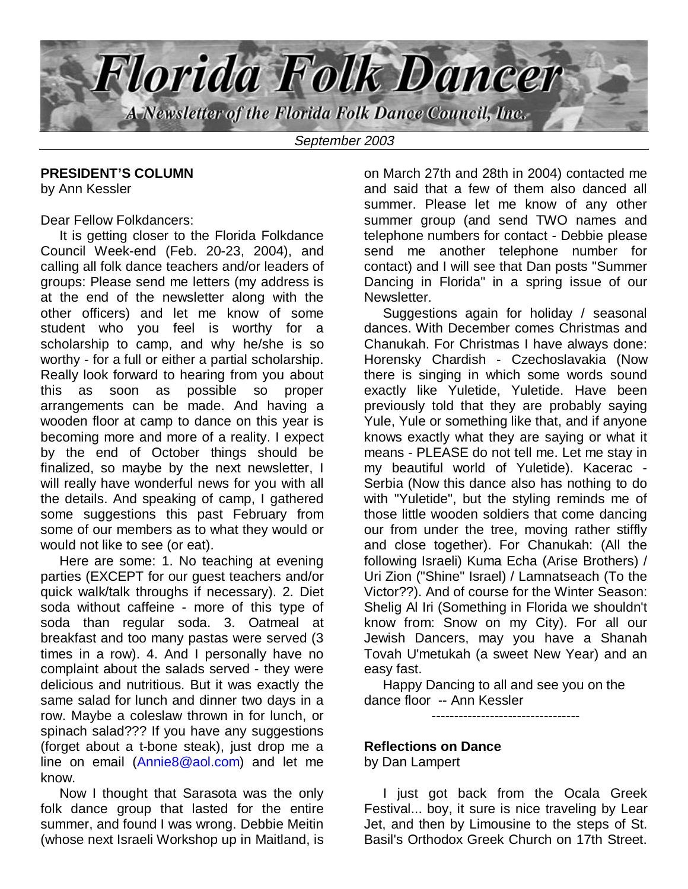

September 2003

#### **PRESIDENT'S COLUMN**

by Ann Kessler

#### Dear Fellow Folkdancers:

 It is getting closer to the Florida Folkdance Council Week-end (Feb. 20-23, 2004), and calling all folk dance teachers and/or leaders of groups: Please send me letters (my address is at the end of the newsletter along with the other officers) and let me know of some student who you feel is worthy for a scholarship to camp, and why he/she is so worthy - for a full or either a partial scholarship. Really look forward to hearing from you about this as soon as possible so proper arrangements can be made. And having a wooden floor at camp to dance on this year is becoming more and more of a reality. I expect by the end of October things should be finalized, so maybe by the next newsletter, I will really have wonderful news for you with all the details. And speaking of camp, I gathered some suggestions this past February from some of our members as to what they would or would not like to see (or eat).

 Here are some: 1. No teaching at evening parties (EXCEPT for our guest teachers and/or quick walk/talk throughs if necessary). 2. Diet soda without caffeine - more of this type of soda than regular soda. 3. Oatmeal at breakfast and too many pastas were served (3 times in a row). 4. And I personally have no complaint about the salads served - they were delicious and nutritious. But it was exactly the same salad for lunch and dinner two days in a row. Maybe a coleslaw thrown in for lunch, or spinach salad??? If you have any suggestions (forget about a t-bone steak), just drop me a line on email (Annie8@aol.com) and let me know.

 Now I thought that Sarasota was the only folk dance group that lasted for the entire summer, and found I was wrong. Debbie Meitin (whose next Israeli Workshop up in Maitland, is

on March 27th and 28th in 2004) contacted me and said that a few of them also danced all summer. Please let me know of any other summer group (and send TWO names and telephone numbers for contact - Debbie please send me another telephone number for contact) and I will see that Dan posts "Summer Dancing in Florida" in a spring issue of our Newsletter.

 Suggestions again for holiday / seasonal dances. With December comes Christmas and Chanukah. For Christmas I have always done: Horensky Chardish - Czechoslavakia (Now there is singing in which some words sound exactly like Yuletide, Yuletide. Have been previously told that they are probably saying Yule, Yule or something like that, and if anyone knows exactly what they are saying or what it means - PLEASE do not tell me. Let me stay in my beautiful world of Yuletide). Kacerac - Serbia (Now this dance also has nothing to do with "Yuletide", but the styling reminds me of those little wooden soldiers that come dancing our from under the tree, moving rather stiffly and close together). For Chanukah: (All the following Israeli) Kuma Echa (Arise Brothers) / Uri Zion ("Shine" Israel) / Lamnatseach (To the Victor??). And of course for the Winter Season: Shelig Al Iri (Something in Florida we shouldn't know from: Snow on my City). For all our Jewish Dancers, may you have a Shanah Tovah U'metukah (a sweet New Year) and an easy fast.

 Happy Dancing to all and see you on the dance floor -- Ann Kessler

---------------------------------

#### **Reflections on Dance**

by Dan Lampert

 I just got back from the Ocala Greek Festival... boy, it sure is nice traveling by Lear Jet, and then by Limousine to the steps of St. Basil's Orthodox Greek Church on 17th Street.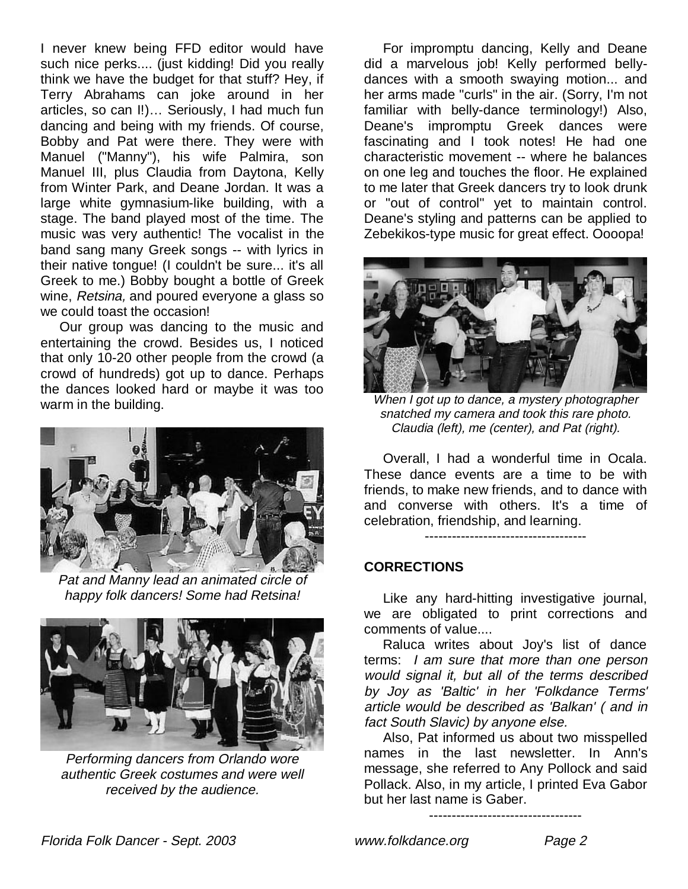I never knew being FFD editor would have such nice perks.... (just kidding! Did you really think we have the budget for that stuff? Hey, if Terry Abrahams can joke around in her articles, so can I!)… Seriously, I had much fun dancing and being with my friends. Of course, Bobby and Pat were there. They were with Manuel ("Manny"), his wife Palmira, son Manuel III, plus Claudia from Daytona, Kelly from Winter Park, and Deane Jordan. It was a large white gymnasium-like building, with a stage. The band played most of the time. The music was very authentic! The vocalist in the band sang many Greek songs -- with lyrics in their native tongue! (I couldn't be sure... it's all Greek to me.) Bobby bought a bottle of Greek wine, Retsina, and poured everyone a glass so we could toast the occasion!

 Our group was dancing to the music and entertaining the crowd. Besides us, I noticed that only 10-20 other people from the crowd (a crowd of hundreds) got up to dance. Perhaps the dances looked hard or maybe it was too warm in the building.



Pat and Manny lead an animated circle of happy folk dancers! Some had Retsina!



Performing dancers from Orlando wore authentic Greek costumes and were well received by the audience.

 For impromptu dancing, Kelly and Deane did a marvelous job! Kelly performed bellydances with a smooth swaying motion... and her arms made "curls" in the air. (Sorry, I'm not familiar with belly-dance terminology!) Also, Deane's impromptu Greek dances were fascinating and I took notes! He had one characteristic movement -- where he balances on one leg and touches the floor. He explained to me later that Greek dancers try to look drunk or "out of control" yet to maintain control. Deane's styling and patterns can be applied to Zebekikos-type music for great effect. Oooopa!



When I got up to dance, a mystery photographer snatched my camera and took this rare photo. Claudia (left), me (center), and Pat (right).

 Overall, I had a wonderful time in Ocala. These dance events are a time to be with friends, to make new friends, and to dance with and converse with others. It's a time of celebration, friendship, and learning.

#### ------------------------------------

#### **CORRECTIONS**

 Like any hard-hitting investigative journal, we are obligated to print corrections and comments of value....

 Raluca writes about Joy's list of dance terms: I am sure that more than one person would signal it, but all of the terms described by Joy as 'Baltic' in her 'Folkdance Terms' article would be described as 'Balkan' ( and in fact South Slavic) by anyone else.

 Also, Pat informed us about two misspelled names in the last newsletter. In Ann's message, she referred to Any Pollock and said Pollack. Also, in my article, I printed Eva Gabor but her last name is Gaber.

----------------------------------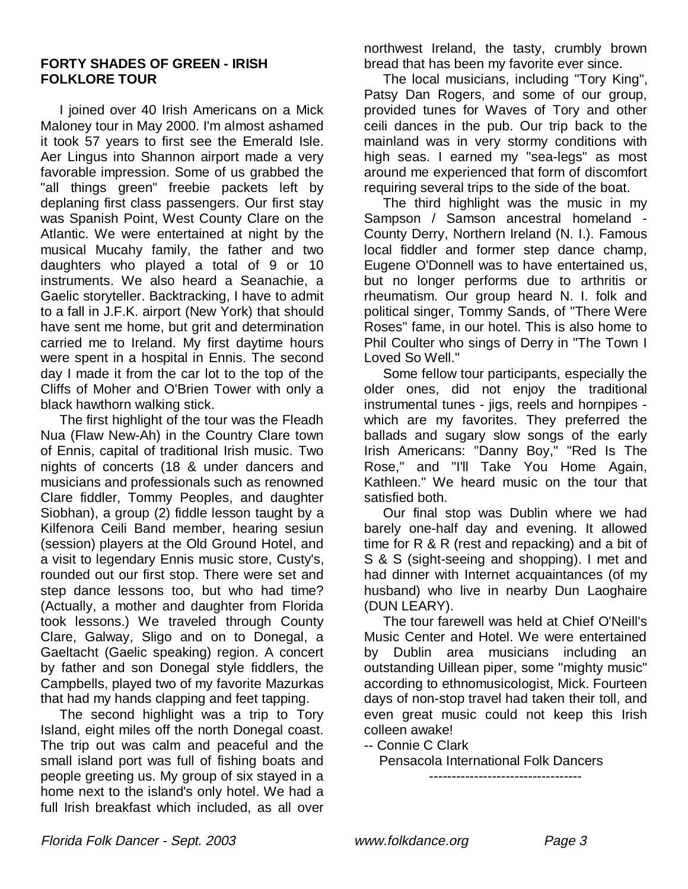#### **FORTY SHADES OF GREEN - IRISH FOLKLORE TOUR**

 I joined over 40 Irish Americans on a Mick Maloney tour in May 2000. I'm almost ashamed it took 57 years to first see the Emerald Isle. Aer Lingus into Shannon airport made a very favorable impression. Some of us grabbed the "all things green" freebie packets left by deplaning first class passengers. Our first stay was Spanish Point, West County Clare on the Atlantic. We were entertained at night by the musical Mucahy family, the father and two daughters who played a total of 9 or 10 instruments. We also heard a Seanachie, a Gaelic storyteller. Backtracking, I have to admit to a fall in J.F.K. airport (New York) that should have sent me home, but grit and determination carried me to Ireland. My first daytime hours were spent in a hospital in Ennis. The second day I made it from the car lot to the top of the Cliffs of Moher and O'Brien Tower with only a black hawthorn walking stick.

 The first highlight of the tour was the Fleadh Nua (Flaw New-Ah) in the Country Clare town of Ennis, capital of traditional Irish music. Two nights of concerts (18 & under dancers and musicians and professionals such as renowned Clare fiddler, Tommy Peoples, and daughter Siobhan), a group (2) fiddle lesson taught by a Kilfenora Ceili Band member, hearing sesiun (session) players at the Old Ground Hotel, and a visit to legendary Ennis music store, Custy's, rounded out our first stop. There were set and step dance lessons too, but who had time? (Actually, a mother and daughter from Florida took lessons.) We traveled through County Clare, Galway, Sligo and on to Donegal, a Gaeltacht (Gaelic speaking) region. A concert by father and son Donegal style fiddlers, the Campbells, played two of my favorite Mazurkas that had my hands clapping and feet tapping.

 The second highlight was a trip to Tory Island, eight miles off the north Donegal coast. The trip out was calm and peaceful and the small island port was full of fishing boats and people greeting us. My group of six stayed in a home next to the island's only hotel. We had a full Irish breakfast which included, as all over

northwest Ireland, the tasty, crumbly brown bread that has been my favorite ever since.

 The local musicians, including "Tory King", Patsy Dan Rogers, and some of our group, provided tunes for Waves of Tory and other ceili dances in the pub. Our trip back to the mainland was in very stormy conditions with high seas. I earned my "sea-legs" as most around me experienced that form of discomfort requiring several trips to the side of the boat.

 The third highlight was the music in my Sampson / Samson ancestral homeland - County Derry, Northern Ireland (N. I.). Famous local fiddler and former step dance champ, Eugene O'Donnell was to have entertained us, but no longer performs due to arthritis or rheumatism. Our group heard N. I. folk and political singer, Tommy Sands, of "There Were Roses" fame, in our hotel. This is also home to Phil Coulter who sings of Derry in "The Town I Loved So Well."

 Some fellow tour participants, especially the older ones, did not enjoy the traditional instrumental tunes - jigs, reels and hornpipes which are my favorites. They preferred the ballads and sugary slow songs of the early Irish Americans: "Danny Boy," "Red Is The Rose," and "I'll Take You Home Again, Kathleen." We heard music on the tour that satisfied both.

 Our final stop was Dublin where we had barely one-half day and evening. It allowed time for R & R (rest and repacking) and a bit of S & S (sight-seeing and shopping). I met and had dinner with Internet acquaintances (of my husband) who live in nearby Dun Laoghaire (DUN LEARY).

 The tour farewell was held at Chief O'Neill's Music Center and Hotel. We were entertained by Dublin area musicians including an outstanding Uillean piper, some "mighty music" according to ethnomusicologist, Mick. Fourteen days of non-stop travel had taken their toll, and even great music could not keep this Irish colleen awake!

-- Connie C Clark

Pensacola International Folk Dancers

----------------------------------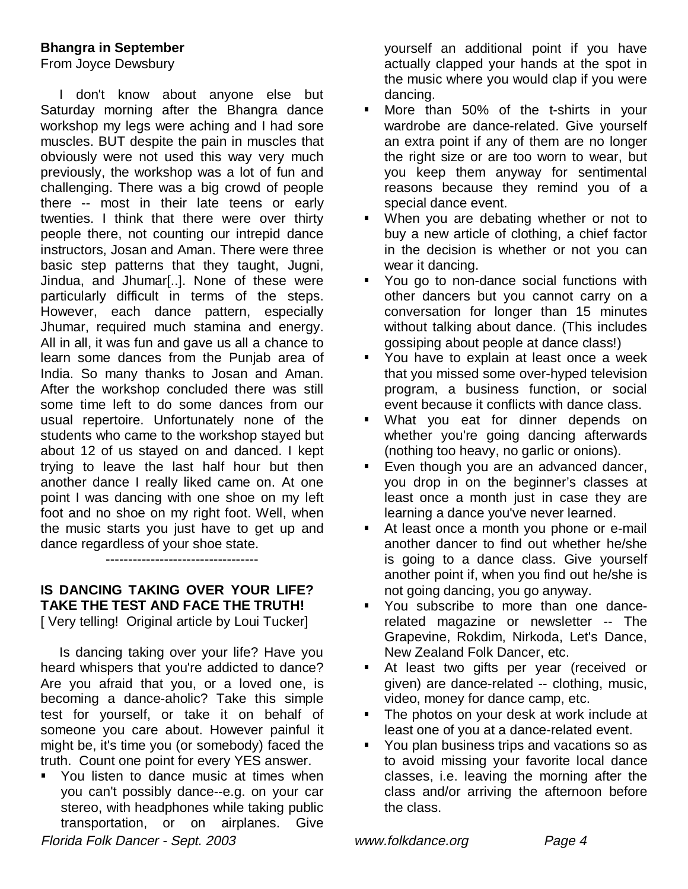#### **Bhangra in September**

From Joyce Dewsbury

 I don't know about anyone else but Saturday morning after the Bhangra dance workshop my legs were aching and I had sore muscles. BUT despite the pain in muscles that obviously were not used this way very much previously, the workshop was a lot of fun and challenging. There was a big crowd of people there -- most in their late teens or early twenties. I think that there were over thirty people there, not counting our intrepid dance instructors, Josan and Aman. There were three basic step patterns that they taught, Jugni, Jindua, and Jhumar[..]. None of these were particularly difficult in terms of the steps. However, each dance pattern, especially Jhumar, required much stamina and energy. All in all, it was fun and gave us all a chance to learn some dances from the Punjab area of India. So many thanks to Josan and Aman. After the workshop concluded there was still some time left to do some dances from our usual repertoire. Unfortunately none of the students who came to the workshop stayed but about 12 of us stayed on and danced. I kept trying to leave the last half hour but then another dance I really liked came on. At one point I was dancing with one shoe on my left foot and no shoe on my right foot. Well, when the music starts you just have to get up and dance regardless of your shoe state.

----------------------------------

#### **IS DANCING TAKING OVER YOUR LIFE? TAKE THE TEST AND FACE THE TRUTH!**

[ Very telling! Original article by Loui Tucker]

 Is dancing taking over your life? Have you heard whispers that you're addicted to dance? Are you afraid that you, or a loved one, is becoming a dance-aholic? Take this simple test for yourself, or take it on behalf of someone you care about. However painful it might be, it's time you (or somebody) faced the truth. Count one point for every YES answer.

 You listen to dance music at times when you can't possibly dance--e.g. on your car stereo, with headphones while taking public transportation, or on airplanes. Give

yourself an additional point if you have actually clapped your hands at the spot in the music where you would clap if you were dancing.

- **More than 50% of the t-shirts in your** wardrobe are dance-related. Give yourself an extra point if any of them are no longer the right size or are too worn to wear, but you keep them anyway for sentimental reasons because they remind you of a special dance event.
- **When you are debating whether or not to** buy a new article of clothing, a chief factor in the decision is whether or not you can wear it dancing.
- **You go to non-dance social functions with** other dancers but you cannot carry on a conversation for longer than 15 minutes without talking about dance. (This includes gossiping about people at dance class!)
- **You have to explain at least once a week** that you missed some over-hyped television program, a business function, or social event because it conflicts with dance class.
- What you eat for dinner depends on whether you're going dancing afterwards (nothing too heavy, no garlic or onions).
- Even though you are an advanced dancer, you drop in on the beginner's classes at least once a month just in case they are learning a dance you've never learned.
- At least once a month you phone or e-mail another dancer to find out whether he/she is going to a dance class. Give yourself another point if, when you find out he/she is not going dancing, you go anyway.
- You subscribe to more than one dancerelated magazine or newsletter -- The Grapevine, Rokdim, Nirkoda, Let's Dance, New Zealand Folk Dancer, etc.
- At least two gifts per year (received or given) are dance-related -- clothing, music, video, money for dance camp, etc.
- **The photos on your desk at work include at** least one of you at a dance-related event.
- You plan business trips and vacations so as to avoid missing your favorite local dance classes, i.e. leaving the morning after the class and/or arriving the afternoon before the class.

Florida Folk Dancer - Sept. 2003 www.folkdance.org Page 4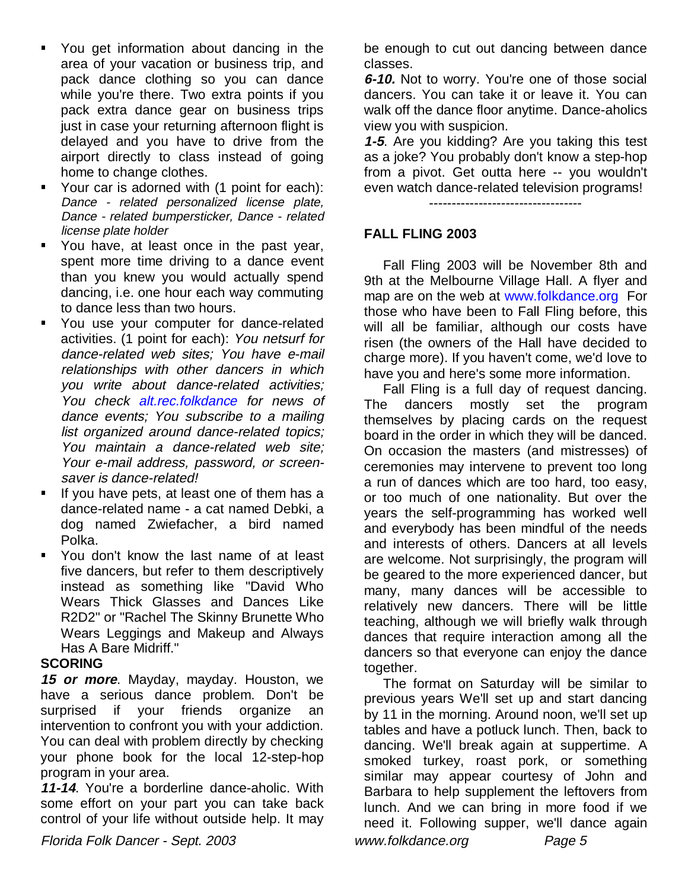- You get information about dancing in the area of your vacation or business trip, and pack dance clothing so you can dance while you're there. Two extra points if you pack extra dance gear on business trips just in case your returning afternoon flight is delayed and you have to drive from the airport directly to class instead of going home to change clothes.
- Your car is adorned with (1 point for each): Dance - related personalized license plate, Dance - related bumpersticker, Dance - related license plate holder
- You have, at least once in the past year, spent more time driving to a dance event than you knew you would actually spend dancing, i.e. one hour each way commuting to dance less than two hours.
- You use your computer for dance-related activities. (1 point for each): You netsurf for dance-related web sites; You have e-mail relationships with other dancers in which you write about dance-related activities; You check alt.rec.folkdance for news of dance events; You subscribe to a mailing list organized around dance-related topics; You maintain a dance-related web site; Your e-mail address, password, or screensaver is dance-related!
- If you have pets, at least one of them has a dance-related name - a cat named Debki, a dog named Zwiefacher, a bird named Polka.
- You don't know the last name of at least five dancers, but refer to them descriptively instead as something like "David Who Wears Thick Glasses and Dances Like R2D2" or "Rachel The Skinny Brunette Who Wears Leggings and Makeup and Always Has A Bare Midriff."

#### **SCORING**

**15 or more**. Mayday, mayday. Houston, we have a serious dance problem. Don't be surprised if your friends organize an intervention to confront you with your addiction. You can deal with problem directly by checking your phone book for the local 12-step-hop program in your area.

**11-14**. You're a borderline dance-aholic. With some effort on your part you can take back control of your life without outside help. It may be enough to cut out dancing between dance classes.

**6-10.** Not to worry. You're one of those social dancers. You can take it or leave it. You can walk off the dance floor anytime. Dance-aholics view you with suspicion.

**1-5**. Are you kidding? Are you taking this test as a joke? You probably don't know a step-hop from a pivot. Get outta here -- you wouldn't even watch dance-related television programs!

----------------------------------

### **FALL FLING 2003**

 Fall Fling 2003 will be November 8th and 9th at the Melbourne Village Hall. A flyer and map are on the web at www.folkdance.org For those who have been to Fall Fling before, this will all be familiar, although our costs have risen (the owners of the Hall have decided to charge more). If you haven't come, we'd love to have you and here's some more information.

 Fall Fling is a full day of request dancing. The dancers mostly set the program themselves by placing cards on the request board in the order in which they will be danced. On occasion the masters (and mistresses) of ceremonies may intervene to prevent too long a run of dances which are too hard, too easy, or too much of one nationality. But over the years the self-programming has worked well and everybody has been mindful of the needs and interests of others. Dancers at all levels are welcome. Not surprisingly, the program will be geared to the more experienced dancer, but many, many dances will be accessible to relatively new dancers. There will be little teaching, although we will briefly walk through dances that require interaction among all the dancers so that everyone can enjoy the dance together.

 The format on Saturday will be similar to previous years We'll set up and start dancing by 11 in the morning. Around noon, we'll set up tables and have a potluck lunch. Then, back to dancing. We'll break again at suppertime. A smoked turkey, roast pork, or something similar may appear courtesy of John and Barbara to help supplement the leftovers from lunch. And we can bring in more food if we need it. Following supper, we'll dance again

Florida Folk Dancer - Sept. 2003 www.folkdance.org Page 5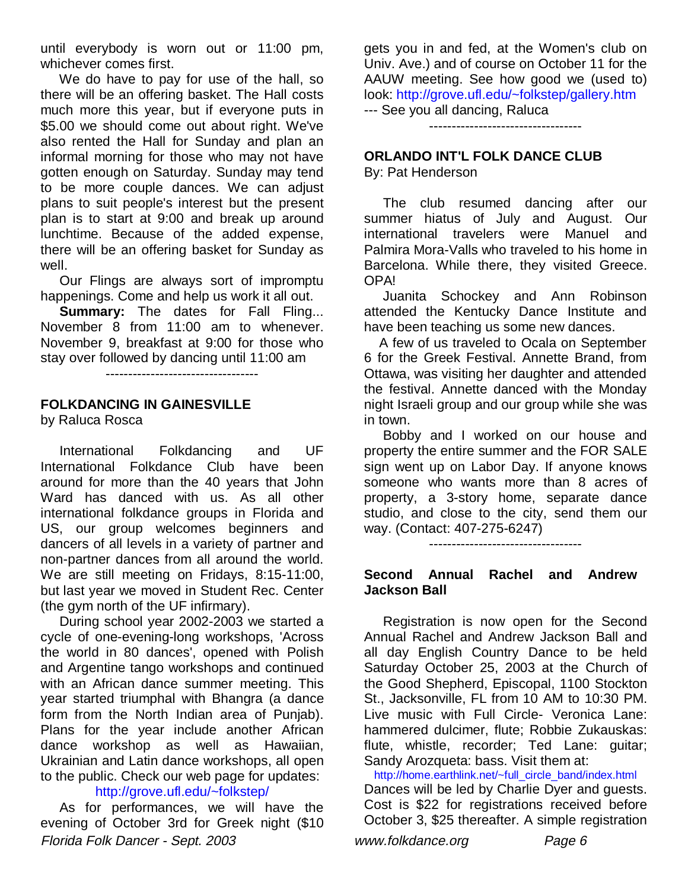until everybody is worn out or 11:00 pm, whichever comes first.

 We do have to pay for use of the hall, so there will be an offering basket. The Hall costs much more this year, but if everyone puts in \$5.00 we should come out about right. We've also rented the Hall for Sunday and plan an informal morning for those who may not have gotten enough on Saturday. Sunday may tend to be more couple dances. We can adjust plans to suit people's interest but the present plan is to start at 9:00 and break up around lunchtime. Because of the added expense, there will be an offering basket for Sunday as well.

 Our Flings are always sort of impromptu happenings. Come and help us work it all out.

**Summary:** The dates for Fall Fling... November 8 from 11:00 am to whenever. November 9, breakfast at 9:00 for those who stay over followed by dancing until 11:00 am

----------------------------------

## **FOLKDANCING IN GAINESVILLE**

by Raluca Rosca

 International Folkdancing and UF International Folkdance Club have been around for more than the 40 years that John Ward has danced with us. As all other international folkdance groups in Florida and US, our group welcomes beginners and dancers of all levels in a variety of partner and non-partner dances from all around the world. We are still meeting on Fridays, 8:15-11:00, but last year we moved in Student Rec. Center (the gym north of the UF infirmary).

 During school year 2002-2003 we started a cycle of one-evening-long workshops, 'Across the world in 80 dances', opened with Polish and Argentine tango workshops and continued with an African dance summer meeting. This year started triumphal with Bhangra (a dance form from the North Indian area of Punjab). Plans for the year include another African dance workshop as well as Hawaiian, Ukrainian and Latin dance workshops, all open to the public. Check our web page for updates:

#### http://grove.ufl.edu/~folkstep/

Florida Folk Dancer - Sept. 2003 www.folkdance.org Page 6 As for performances, we will have the evening of October 3rd for Greek night (\$10

gets you in and fed, at the Women's club on Univ. Ave.) and of course on October 11 for the AAUW meeting. See how good we (used to) look: http://grove.ufl.edu/~folkstep/gallery.htm --- See you all dancing, Raluca

----------------------------------

## **ORLANDO INT'L FOLK DANCE CLUB**

By: Pat Henderson

 The club resumed dancing after our summer hiatus of July and August. Our international travelers were Manuel and Palmira Mora-Valls who traveled to his home in Barcelona. While there, they visited Greece. OPA!

 Juanita Schockey and Ann Robinson attended the Kentucky Dance Institute and have been teaching us some new dances.

 A few of us traveled to Ocala on September 6 for the Greek Festival. Annette Brand, from Ottawa, was visiting her daughter and attended the festival. Annette danced with the Monday night Israeli group and our group while she was in town.

 Bobby and I worked on our house and property the entire summer and the FOR SALE sign went up on Labor Day. If anyone knows someone who wants more than 8 acres of property, a 3-story home, separate dance studio, and close to the city, send them our way. (Contact: 407-275-6247)

----------------------------------

#### **Second Annual Rachel and Andrew Jackson Ball**

 Registration is now open for the Second Annual Rachel and Andrew Jackson Ball and all day English Country Dance to be held Saturday October 25, 2003 at the Church of the Good Shepherd, Episcopal, 1100 Stockton St., Jacksonville, FL from 10 AM to 10:30 PM. Live music with Full Circle- Veronica Lane: hammered dulcimer, flute; Robbie Zukauskas: flute, whistle, recorder; Ted Lane: guitar; Sandy Arozqueta: bass. Visit them at:

http://home.earthlink.net/~full\_circle\_band/index.html Dances will be led by Charlie Dyer and guests. Cost is \$22 for registrations received before October 3, \$25 thereafter. A simple registration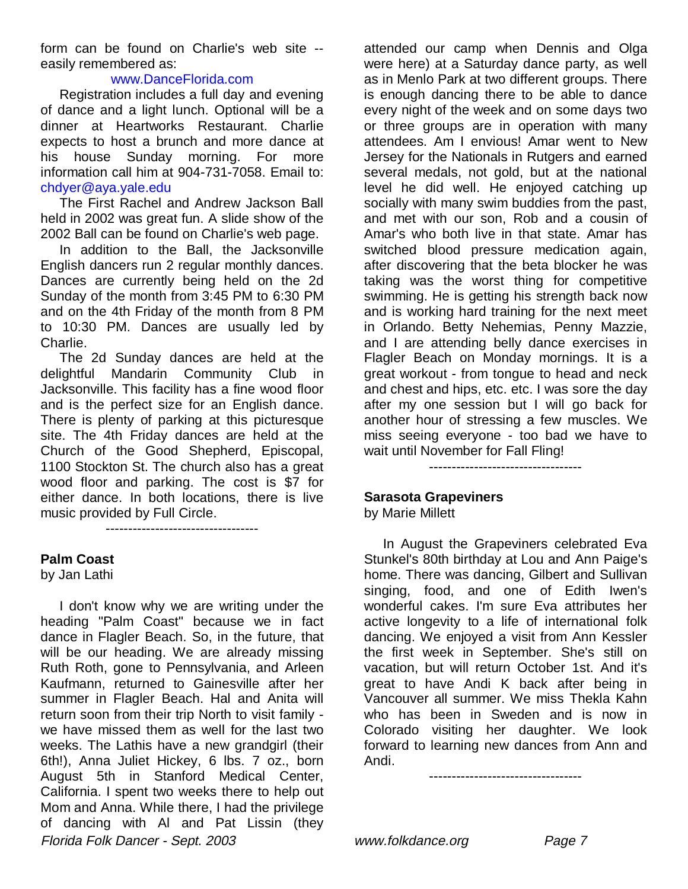form can be found on Charlie's web site - easily remembered as:

#### www.DanceFlorida.com

 Registration includes a full day and evening of dance and a light lunch. Optional will be a dinner at Heartworks Restaurant. Charlie expects to host a brunch and more dance at his house Sunday morning. For more information call him at 904-731-7058. Email to: chdyer@aya.yale.edu

 The First Rachel and Andrew Jackson Ball held in 2002 was great fun. A slide show of the 2002 Ball can be found on Charlie's web page.

 In addition to the Ball, the Jacksonville English dancers run 2 regular monthly dances. Dances are currently being held on the 2d Sunday of the month from 3:45 PM to 6:30 PM and on the 4th Friday of the month from 8 PM to 10:30 PM. Dances are usually led by Charlie.

 The 2d Sunday dances are held at the delightful Mandarin Community Club in Jacksonville. This facility has a fine wood floor and is the perfect size for an English dance. There is plenty of parking at this picturesque site. The 4th Friday dances are held at the Church of the Good Shepherd, Episcopal, 1100 Stockton St. The church also has a great wood floor and parking. The cost is \$7 for either dance. In both locations, there is live music provided by Full Circle.

----------------------------------

#### **Palm Coast**

by Jan Lathi

Florida Folk Dancer - Sept. 2003 www.folkdance.org Page 7 I don't know why we are writing under the heading "Palm Coast" because we in fact dance in Flagler Beach. So, in the future, that will be our heading. We are already missing Ruth Roth, gone to Pennsylvania, and Arleen Kaufmann, returned to Gainesville after her summer in Flagler Beach. Hal and Anita will return soon from their trip North to visit family we have missed them as well for the last two weeks. The Lathis have a new grandgirl (their 6th!), Anna Juliet Hickey, 6 lbs. 7 oz., born August 5th in Stanford Medical Center, California. I spent two weeks there to help out Mom and Anna. While there, I had the privilege of dancing with Al and Pat Lissin (they

attended our camp when Dennis and Olga were here) at a Saturday dance party, as well as in Menlo Park at two different groups. There is enough dancing there to be able to dance every night of the week and on some days two or three groups are in operation with many attendees. Am I envious! Amar went to New Jersey for the Nationals in Rutgers and earned several medals, not gold, but at the national level he did well. He enjoyed catching up socially with many swim buddies from the past, and met with our son, Rob and a cousin of Amar's who both live in that state. Amar has switched blood pressure medication again, after discovering that the beta blocker he was taking was the worst thing for competitive swimming. He is getting his strength back now and is working hard training for the next meet in Orlando. Betty Nehemias, Penny Mazzie, and I are attending belly dance exercises in Flagler Beach on Monday mornings. It is a great workout - from tongue to head and neck and chest and hips, etc. etc. I was sore the day after my one session but I will go back for another hour of stressing a few muscles. We miss seeing everyone - too bad we have to wait until November for Fall Fling!

----------------------------------

#### **Sarasota Grapeviners**

by Marie Millett

 In August the Grapeviners celebrated Eva Stunkel's 80th birthday at Lou and Ann Paige's home. There was dancing, Gilbert and Sullivan singing, food, and one of Edith Iwen's wonderful cakes. I'm sure Eva attributes her active longevity to a life of international folk dancing. We enjoyed a visit from Ann Kessler the first week in September. She's still on vacation, but will return October 1st. And it's great to have Andi K back after being in Vancouver all summer. We miss Thekla Kahn who has been in Sweden and is now in Colorado visiting her daughter. We look forward to learning new dances from Ann and Andi.

----------------------------------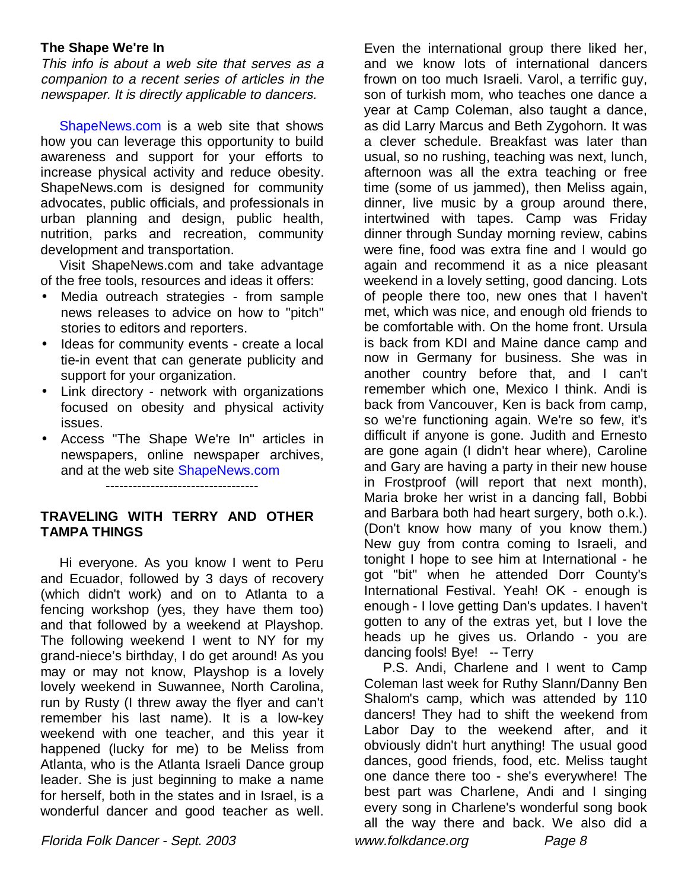#### **The Shape We're In**

This info is about a web site that serves as a companion to a recent series of articles in the newspaper. It is directly applicable to dancers.

 ShapeNews.com is a web site that shows how you can leverage this opportunity to build awareness and support for your efforts to increase physical activity and reduce obesity. ShapeNews.com is designed for community advocates, public officials, and professionals in urban planning and design, public health, nutrition, parks and recreation, community development and transportation.

 Visit ShapeNews.com and take advantage of the free tools, resources and ideas it offers:

- Media outreach strategies from sample news releases to advice on how to "pitch" stories to editors and reporters.
- Ideas for community events create a local tie-in event that can generate publicity and support for your organization.
- Link directory network with organizations focused on obesity and physical activity issues.
- Access "The Shape We're In" articles in newspapers, online newspaper archives, and at the web site ShapeNews.com

----------------------------------

#### **TRAVELING WITH TERRY AND OTHER TAMPA THINGS**

 Hi everyone. As you know I went to Peru and Ecuador, followed by 3 days of recovery (which didn't work) and on to Atlanta to a fencing workshop (yes, they have them too) and that followed by a weekend at Playshop. The following weekend I went to NY for my grand-niece's birthday, I do get around! As you may or may not know, Playshop is a lovely lovely weekend in Suwannee, North Carolina, run by Rusty (I threw away the flyer and can't remember his last name). It is a low-key weekend with one teacher, and this year it happened (lucky for me) to be Meliss from Atlanta, who is the Atlanta Israeli Dance group leader. She is just beginning to make a name for herself, both in the states and in Israel, is a wonderful dancer and good teacher as well.

Even the international group there liked her, and we know lots of international dancers frown on too much Israeli. Varol, a terrific guy, son of turkish mom, who teaches one dance a year at Camp Coleman, also taught a dance, as did Larry Marcus and Beth Zygohorn. It was a clever schedule. Breakfast was later than usual, so no rushing, teaching was next, lunch, afternoon was all the extra teaching or free time (some of us jammed), then Meliss again, dinner, live music by a group around there, intertwined with tapes. Camp was Friday dinner through Sunday morning review, cabins were fine, food was extra fine and I would go again and recommend it as a nice pleasant weekend in a lovely setting, good dancing. Lots of people there too, new ones that I haven't met, which was nice, and enough old friends to be comfortable with. On the home front. Ursula is back from KDI and Maine dance camp and now in Germany for business. She was in another country before that, and I can't remember which one, Mexico I think. Andi is back from Vancouver, Ken is back from camp, so we're functioning again. We're so few, it's difficult if anyone is gone. Judith and Ernesto are gone again (I didn't hear where), Caroline and Gary are having a party in their new house in Frostproof (will report that next month), Maria broke her wrist in a dancing fall, Bobbi and Barbara both had heart surgery, both o.k.). (Don't know how many of you know them.) New guy from contra coming to Israeli, and tonight I hope to see him at International - he got "bit" when he attended Dorr County's International Festival. Yeah! OK - enough is enough - I love getting Dan's updates. I haven't gotten to any of the extras yet, but I love the heads up he gives us. Orlando - you are dancing fools! Bye! -- Terry

 P.S. Andi, Charlene and I went to Camp Coleman last week for Ruthy Slann/Danny Ben Shalom's camp, which was attended by 110 dancers! They had to shift the weekend from Labor Day to the weekend after, and it obviously didn't hurt anything! The usual good dances, good friends, food, etc. Meliss taught one dance there too - she's everywhere! The best part was Charlene, Andi and I singing every song in Charlene's wonderful song book all the way there and back. We also did a

Florida Folk Dancer - Sept. 2003 www.folkdance.org Page 8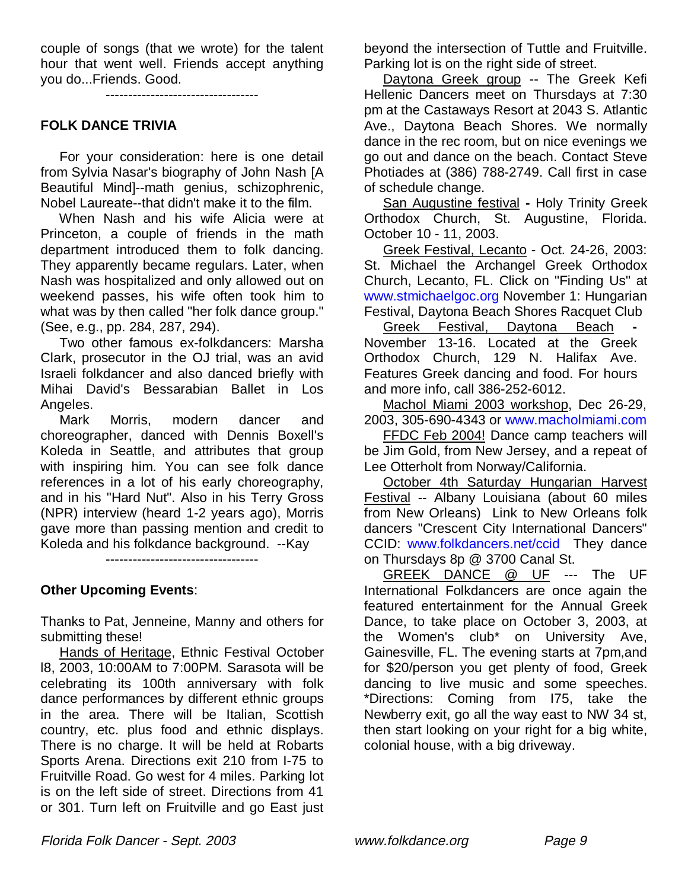couple of songs (that we wrote) for the talent hour that went well. Friends accept anything you do...Friends. Good.

----------------------------------

#### **FOLK DANCE TRIVIA**

 For your consideration: here is one detail from Sylvia Nasar's biography of John Nash [A Beautiful Mind]--math genius, schizophrenic, Nobel Laureate--that didn't make it to the film.

 When Nash and his wife Alicia were at Princeton, a couple of friends in the math department introduced them to folk dancing. They apparently became regulars. Later, when Nash was hospitalized and only allowed out on weekend passes, his wife often took him to what was by then called "her folk dance group." (See, e.g., pp. 284, 287, 294).

 Two other famous ex-folkdancers: Marsha Clark, prosecutor in the OJ trial, was an avid Israeli folkdancer and also danced briefly with Mihai David's Bessarabian Ballet in Los Angeles.

 Mark Morris, modern dancer and choreographer, danced with Dennis Boxell's Koleda in Seattle, and attributes that group with inspiring him. You can see folk dance references in a lot of his early choreography, and in his "Hard Nut". Also in his Terry Gross (NPR) interview (heard 1-2 years ago), Morris gave more than passing mention and credit to Koleda and his folkdance background. --Kay

----------------------------------

#### **Other Upcoming Events**:

Thanks to Pat, Jenneine, Manny and others for submitting these!

 Hands of Heritage, Ethnic Festival October l8, 2003, 10:00AM to 7:00PM. Sarasota will be celebrating its 100th anniversary with folk dance performances by different ethnic groups in the area. There will be Italian, Scottish country, etc. plus food and ethnic displays. There is no charge. It will be held at Robarts Sports Arena. Directions exit 210 from I-75 to Fruitville Road. Go west for 4 miles. Parking lot is on the left side of street. Directions from 41 or 301. Turn left on Fruitville and go East just

beyond the intersection of Tuttle and Fruitville. Parking lot is on the right side of street.

 Daytona Greek group -- The Greek Kefi Hellenic Dancers meet on Thursdays at 7:30 pm at the Castaways Resort at 2043 S. Atlantic Ave., Daytona Beach Shores. We normally dance in the rec room, but on nice evenings we go out and dance on the beach. Contact Steve Photiades at (386) 788-2749. Call first in case of schedule change.

San Augustine festival **-** Holy Trinity Greek Orthodox Church, St. Augustine, Florida. October 10 - 11, 2003.

 Greek Festival, Lecanto - Oct. 24-26, 2003: St. Michael the Archangel Greek Orthodox Church, Lecanto, FL. Click on "Finding Us" at www.stmichaelgoc.org November 1: Hungarian Festival, Daytona Beach Shores Racquet Club

Greek Festival, Daytona Beach November 13-16. Located at the Greek Orthodox Church, 129 N. Halifax Ave. Features Greek dancing and food. For hours and more info, call 386-252-6012.

Machol Miami 2003 workshop, Dec 26-29, 2003, 305-690-4343 or www.macholmiami.com

FFDC Feb 2004! Dance camp teachers will be Jim Gold, from New Jersey, and a repeat of Lee Otterholt from Norway/California.

 October 4th Saturday Hungarian Harvest Festival -- Albany Louisiana (about 60 miles from New Orleans) Link to New Orleans folk dancers "Crescent City International Dancers" CCID: www.folkdancers.net/ccid They dance on Thursdays 8p @ 3700 Canal St.

GREEK DANCE @ UF --- The UF International Folkdancers are once again the featured entertainment for the Annual Greek Dance, to take place on October 3, 2003, at the Women's club\* on University Ave, Gainesville, FL. The evening starts at 7pm,and for \$20/person you get plenty of food, Greek dancing to live music and some speeches. \*Directions: Coming from I75, take the Newberry exit, go all the way east to NW 34 st, then start looking on your right for a big white, colonial house, with a big driveway.